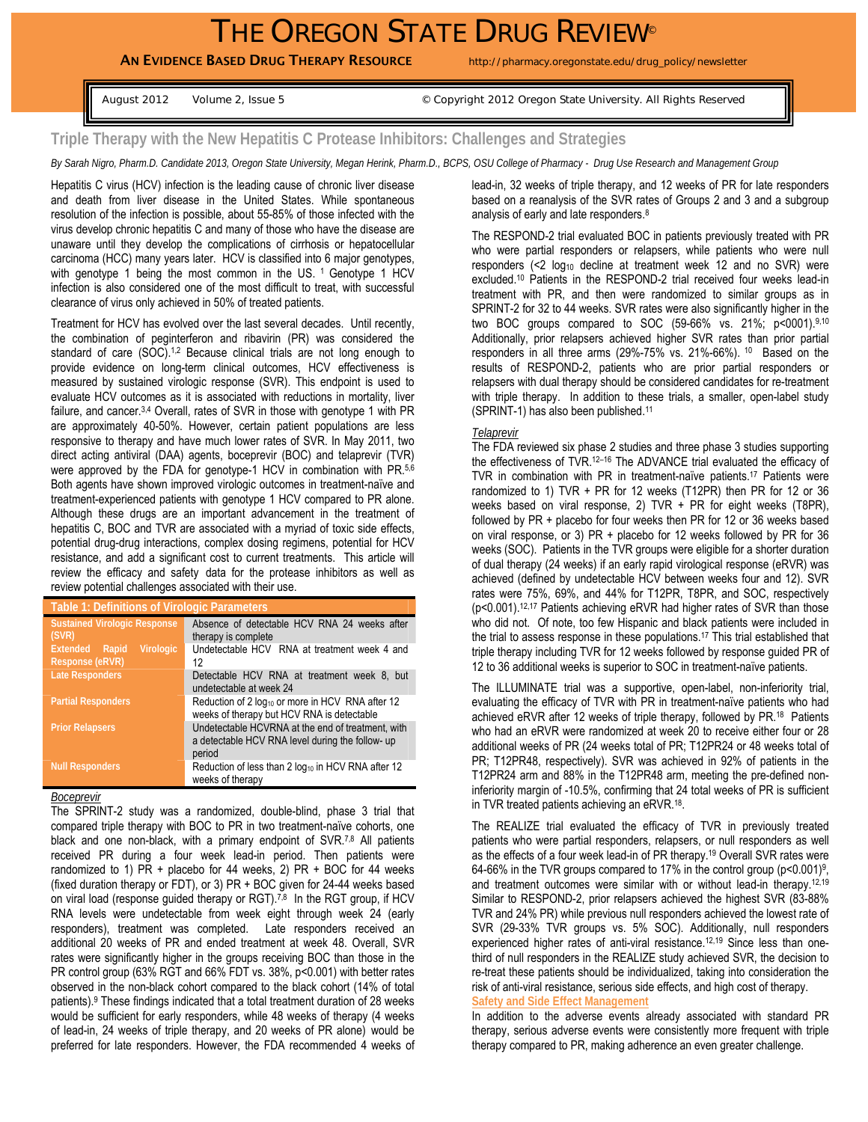# THE OREGON STATE DRUG REVIEW®

AN EVIDENCE BASED DRUG THERAPY RESOURCE http://pharmacy.oregonstate.edu/drug\_policy/newsletter

August 2012 Volume 2, Issue 5 © Copyright 2012 Oregon State University. All Rights Reserved

## **Triple Therapy with the New Hepatitis C Protease Inhibitors: Challenges and Strategies**

*By Sarah Nigro, Pharm.D. Candidate 2013, Oregon State University, Megan Herink, Pharm.D., BCPS, OSU College of Pharmacy - Drug Use Research and Management Group*

Hepatitis C virus (HCV) infection is the leading cause of chronic liver disease and death from liver disease in the United States. While spontaneous resolution of the infection is possible, about 55-85% of those infected with the virus develop chronic hepatitis C and many of those who have the disease are unaware until they develop the complications of cirrhosis or hepatocellular carcinoma (HCC) many years later. HCV is classified into 6 major genotypes, with genotype 1 being the most common in the US.<sup>1</sup> Genotype 1 HCV infection is also considered one of the most difficult to treat, with successful clearance of virus only achieved in 50% of treated patients.

Treatment for HCV has evolved over the last several decades. Until recently, the combination of peginterferon and ribavirin (PR) was considered the standard of care (SOC).<sup>1,2</sup> Because clinical trials are not long enough to provide evidence on long-term clinical outcomes, HCV effectiveness is measured by sustained virologic response (SVR). This endpoint is used to evaluate HCV outcomes as it is associated with reductions in mortality, liver failure, and cancer.<sup>3,4</sup> Overall, rates of SVR in those with genotype 1 with PR are approximately 40-50%. However, certain patient populations are less responsive to therapy and have much lower rates of SVR. In May 2011, two direct acting antiviral (DAA) agents, boceprevir (BOC) and telaprevir (TVR) were approved by the FDA for genotype-1 HCV in combination with PR.<sup>5,6</sup> Both agents have shown improved virologic outcomes in treatment-naïve and treatment-experienced patients with genotype 1 HCV compared to PR alone. Although these drugs are an important advancement in the treatment of hepatitis C, BOC and TVR are associated with a myriad of toxic side effects, potential drug-drug interactions, complex dosing regimens, potential for HCV resistance, and add a significant cost to current treatments. This article will review the efficacy and safety data for the protease inhibitors as well as review potential challenges associated with their use.

| <b>Table 1: Definitions of Virologic Parameters</b>             |                                                                                                                 |
|-----------------------------------------------------------------|-----------------------------------------------------------------------------------------------------------------|
| <b>Sustained Virologic Response</b><br>(SVR)                    | Absence of detectable HCV RNA 24 weeks after<br>therapy is complete                                             |
| <b>Virologic</b><br><b>Extended</b><br>Rapid<br>Response (eRVR) | Undetectable HCV RNA at treatment week 4 and<br>12                                                              |
| <b>Late Responders</b>                                          | Detectable HCV RNA at treatment week 8, but<br>undetectable at week 24                                          |
| <b>Partial Responders</b>                                       | Reduction of 2 log <sub>10</sub> or more in HCV RNA after 12<br>weeks of therapy but HCV RNA is detectable      |
| <b>Prior Relapsers</b>                                          | Undetectable HCVRNA at the end of treatment, with<br>a detectable HCV RNA level during the follow- up<br>period |
| <b>Null Responders</b>                                          | Reduction of less than 2 log <sub>10</sub> in HCV RNA after 12<br>weeks of therapy                              |

#### *Boceprevir*

The SPRINT-2 study was a randomized, double-blind, phase 3 trial that compared triple therapy with BOC to PR in two treatment-naïve cohorts, one black and one non-black, with a primary endpoint of SVR.<sup>7,8</sup> All patients received PR during a four week lead-in period. Then patients were randomized to 1) PR + placebo for 44 weeks, 2) PR + BOC for 44 weeks (fixed duration therapy or FDT), or 3) PR + BOC given for 24-44 weeks based on viral load (response guided therapy or RGT).<sup>7,8</sup> In the RGT group, if HCV RNA levels were undetectable from week eight through week 24 (early responders), treatment was completed. Late responders received an additional 20 weeks of PR and ended treatment at week 48. Overall, SVR rates were significantly higher in the groups receiving BOC than those in the PR control group (63% RGT and 66% FDT vs. 38%, p<0.001) with better rates observed in the non-black cohort compared to the black cohort (14% of total patients).9 These findings indicated that a total treatment duration of 28 weeks would be sufficient for early responders, while 48 weeks of therapy (4 weeks of lead-in, 24 weeks of triple therapy, and 20 weeks of PR alone) would be preferred for late responders. However, the FDA recommended 4 weeks of lead-in, 32 weeks of triple therapy, and 12 weeks of PR for late responders based on a reanalysis of the SVR rates of Groups 2 and 3 and a subgroup analysis of early and late responders.8

The RESPOND-2 trial evaluated BOC in patients previously treated with PR who were partial responders or relapsers, while patients who were null responders  $( $2 \log_{10}$  decline at treatment week 12 and no SVR) were$ excluded.10 Patients in the RESPOND-2 trial received four weeks lead-in treatment with PR, and then were randomized to similar groups as in SPRINT-2 for 32 to 44 weeks. SVR rates were also significantly higher in the two BOC groups compared to SOC (59-66% vs. 21%; p<0001).9,10 Additionally, prior relapsers achieved higher SVR rates than prior partial responders in all three arms (29%-75% vs. 21%-66%). 10 Based on the results of RESPOND-2, patients who are prior partial responders or relapsers with dual therapy should be considered candidates for re-treatment with triple therapy. In addition to these trials, a smaller, open-label study (SPRINT-1) has also been published.11

#### *Telaprevir*

The FDA reviewed six phase 2 studies and three phase 3 studies supporting the effectiveness of TVR.<sup>12-16</sup> The ADVANCE trial evaluated the efficacy of TVR in combination with PR in treatment-naïve patients.17 Patients were randomized to 1) TVR + PR for 12 weeks (T12PR) then PR for 12 or 36 weeks based on viral response, 2) TVR  $+$  PR for eight weeks (T8PR), followed by PR + placebo for four weeks then PR for 12 or 36 weeks based on viral response, or 3) PR + placebo for 12 weeks followed by PR for 36 weeks (SOC). Patients in the TVR groups were eligible for a shorter duration of dual therapy (24 weeks) if an early rapid virological response (eRVR) was achieved (defined by undetectable HCV between weeks four and 12). SVR rates were 75%, 69%, and 44% for T12PR, T8PR, and SOC, respectively (p<0.001).12,17 Patients achieving eRVR had higher rates of SVR than those who did not. Of note, too few Hispanic and black patients were included in the trial to assess response in these populations.17 This trial established that triple therapy including TVR for 12 weeks followed by response guided PR of 12 to 36 additional weeks is superior to SOC in treatment-naïve patients.

The ILLUMINATE trial was a supportive, open-label, non-inferiority trial, evaluating the efficacy of TVR with PR in treatment-naïve patients who had achieved eRVR after 12 weeks of triple therapy, followed by PR.18 Patients who had an eRVR were randomized at week 20 to receive either four or 28 additional weeks of PR (24 weeks total of PR; T12PR24 or 48 weeks total of PR; T12PR48, respectively). SVR was achieved in 92% of patients in the T12PR24 arm and 88% in the T12PR48 arm, meeting the pre-defined noninferiority margin of -10.5%, confirming that 24 total weeks of PR is sufficient in TVR treated patients achieving an eRVR.18.

The REALIZE trial evaluated the efficacy of TVR in previously treated patients who were partial responders, relapsers, or null responders as well as the effects of a four week lead-in of PR therapy.19 Overall SVR rates were 64-66% in the TVR groups compared to 17% in the control group ( $p<0.001$ )<sup>9</sup>, and treatment outcomes were similar with or without lead-in therapy.<sup>12,19</sup> Similar to RESPOND-2, prior relapsers achieved the highest SVR (83-88% TVR and 24% PR) while previous null responders achieved the lowest rate of SVR (29-33% TVR groups vs. 5% SOC). Additionally, null responders experienced higher rates of anti-viral resistance.<sup>12,19</sup> Since less than onethird of null responders in the REALIZE study achieved SVR, the decision to re-treat these patients should be individualized, taking into consideration the risk of anti-viral resistance, serious side effects, and high cost of therapy. **Safety and Side Effect Management**

In addition to the adverse events already associated with standard PR therapy, serious adverse events were consistently more frequent with triple therapy compared to PR, making adherence an even greater challenge.